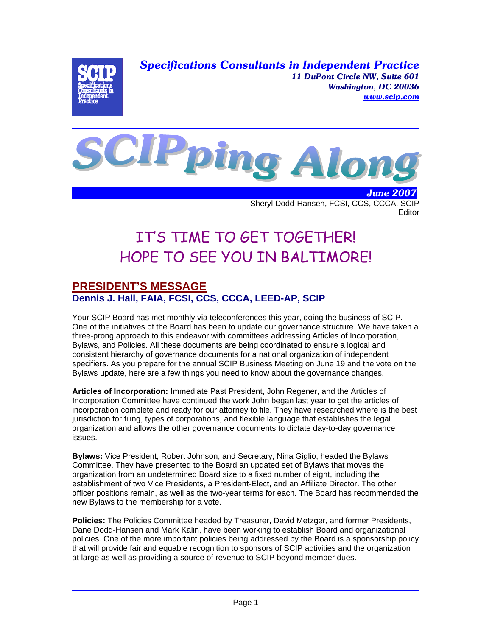*Specifications Consultants in Independent Practice 11 DuPont Circle NW, Suite 601 Washington, DC 20036 www.scip.com*



 *June 2007* Sheryl Dodd-Hansen, FCSI, CCS, CCCA, SCIP **Editor** 

# IT'S TIME TO GET TOGETHER! HOPE TO SEE YOU IN BALTIMORE!

## **PRESIDENT'S MESSAGE Dennis J. Hall, FAIA, FCSI, CCS, CCCA, LEED-AP, SCIP**

Your SCIP Board has met monthly via teleconferences this year, doing the business of SCIP. One of the initiatives of the Board has been to update our governance structure. We have taken a three-prong approach to this endeavor with committees addressing Articles of Incorporation, Bylaws, and Policies. All these documents are being coordinated to ensure a logical and consistent hierarchy of governance documents for a national organization of independent specifiers. As you prepare for the annual SCIP Business Meeting on June 19 and the vote on the Bylaws update, here are a few things you need to know about the governance changes.

**Articles of Incorporation:** Immediate Past President, John Regener, and the Articles of Incorporation Committee have continued the work John began last year to get the articles of incorporation complete and ready for our attorney to file. They have researched where is the best jurisdiction for filing, types of corporations, and flexible language that establishes the legal organization and allows the other governance documents to dictate day-to-day governance issues.

**Bylaws:** Vice President, Robert Johnson, and Secretary, Nina Giglio, headed the Bylaws Committee. They have presented to the Board an updated set of Bylaws that moves the organization from an undetermined Board size to a fixed number of eight, including the establishment of two Vice Presidents, a President-Elect, and an Affiliate Director. The other officer positions remain, as well as the two-year terms for each. The Board has recommended the new Bylaws to the membership for a vote.

**Policies:** The Policies Committee headed by Treasurer, David Metzger, and former Presidents, Dane Dodd-Hansen and Mark Kalin, have been working to establish Board and organizational policies. One of the more important policies being addressed by the Board is a sponsorship policy that will provide fair and equable recognition to sponsors of SCIP activities and the organization at large as well as providing a source of revenue to SCIP beyond member dues.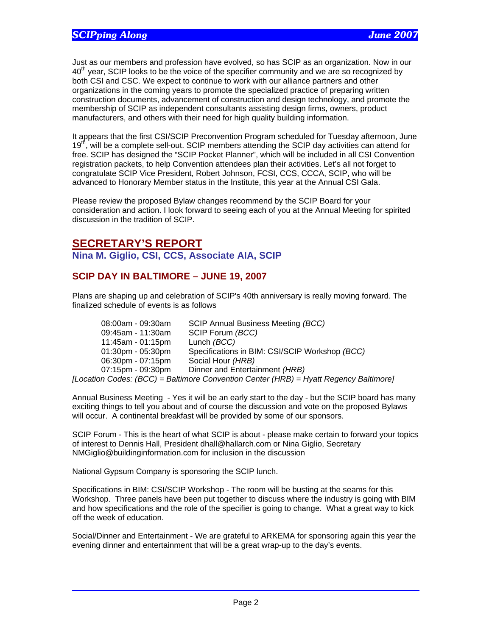Just as our members and profession have evolved, so has SCIP as an organization. Now in our  $40<sup>th</sup>$  year, SCIP looks to be the voice of the specifier community and we are so recognized by both CSI and CSC. We expect to continue to work with our alliance partners and other organizations in the coming years to promote the specialized practice of preparing written construction documents, advancement of construction and design technology, and promote the membership of SCIP as independent consultants assisting design firms, owners, product manufacturers, and others with their need for high quality building information.

It appears that the first CSI/SCIP Preconvention Program scheduled for Tuesday afternoon, June 19<sup>th</sup>, will be a complete sell-out. SCIP members attending the SCIP day activities can attend for free. SCIP has designed the "SCIP Pocket Planner", which will be included in all CSI Convention registration packets, to help Convention attendees plan their activities. Let's all not forget to congratulate SCIP Vice President, Robert Johnson, FCSI, CCS, CCCA, SCIP, who will be advanced to Honorary Member status in the Institute, this year at the Annual CSI Gala.

Please review the proposed Bylaw changes recommend by the SCIP Board for your consideration and action. I look forward to seeing each of you at the Annual Meeting for spirited discussion in the tradition of SCIP.

## **SECRETARY'S REPORT**

**Nina M. Giglio, CSI, CCS, Associate AIA, SCIP** 

## **SCIP DAY IN BALTIMORE – JUNE 19, 2007**

Plans are shaping up and celebration of SCIP's 40th anniversary is really moving forward. The finalized schedule of events is as follows

| 08:00am - 09:30am    | SCIP Annual Business Meeting (BCC)             |
|----------------------|------------------------------------------------|
| 09:45am - 11:30am    | SCIP Forum (BCC)                               |
| $11:45am - 01:15pm$  | Lunch (BCC)                                    |
| $01:30$ pm - 05:30pm | Specifications in BIM: CSI/SCIP Workshop (BCC) |
| 06:30pm - 07:15pm    | Social Hour (HRB)                              |
| 07:15pm - 09:30pm    | Dinner and Entertainment (HRB)                 |
|                      |                                                |

*[Location Codes: (BCC) = Baltimore Convention Center (HRB) = Hyatt Regency Baltimore]* 

Annual Business Meeting - Yes it will be an early start to the day - but the SCIP board has many exciting things to tell you about and of course the discussion and vote on the proposed Bylaws will occur. A continental breakfast will be provided by some of our sponsors.

SCIP Forum - This is the heart of what SCIP is about - please make certain to forward your topics of interest to Dennis Hall, President dhall@hallarch.com or Nina Giglio, Secretary NMGiglio@buildinginformation.com for inclusion in the discussion

National Gypsum Company is sponsoring the SCIP lunch.

Specifications in BIM: CSI/SCIP Workshop - The room will be busting at the seams for this Workshop. Three panels have been put together to discuss where the industry is going with BIM and how specifications and the role of the specifier is going to change. What a great way to kick off the week of education.

Social/Dinner and Entertainment - We are grateful to ARKEMA for sponsoring again this year the evening dinner and entertainment that will be a great wrap-up to the day's events.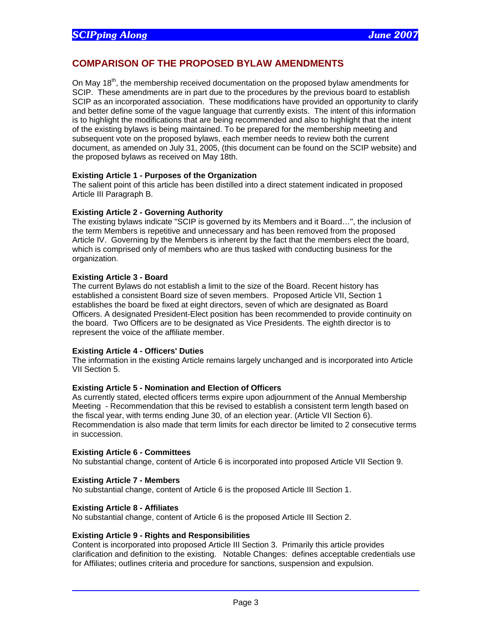### **COMPARISON OF THE PROPOSED BYLAW AMENDMENTS**

On May  $18<sup>th</sup>$ , the membership received documentation on the proposed bylaw amendments for SCIP. These amendments are in part due to the procedures by the previous board to establish SCIP as an incorporated association. These modifications have provided an opportunity to clarify and better define some of the vague language that currently exists. The intent of this information is to highlight the modifications that are being recommended and also to highlight that the intent of the existing bylaws is being maintained. To be prepared for the membership meeting and subsequent vote on the proposed bylaws, each member needs to review both the current document, as amended on July 31, 2005, (this document can be found on the SCIP website) and the proposed bylaws as received on May 18th.

#### **Existing Article 1 - Purposes of the Organization**

The salient point of this article has been distilled into a direct statement indicated in proposed Article III Paragraph B.

#### **Existing Article 2 - Governing Authority**

The existing bylaws indicate "SCIP is governed by its Members and it Board…", the inclusion of the term Members is repetitive and unnecessary and has been removed from the proposed Article IV. Governing by the Members is inherent by the fact that the members elect the board, which is comprised only of members who are thus tasked with conducting business for the organization.

#### **Existing Article 3 - Board**

The current Bylaws do not establish a limit to the size of the Board. Recent history has established a consistent Board size of seven members. Proposed Article VII, Section 1 establishes the board be fixed at eight directors, seven of which are designated as Board Officers. A designated President-Elect position has been recommended to provide continuity on the board. Two Officers are to be designated as Vice Presidents. The eighth director is to represent the voice of the affiliate member.

#### **Existing Article 4 - Officers' Duties**

The information in the existing Article remains largely unchanged and is incorporated into Article VII Section 5.

#### **Existing Article 5 - Nomination and Election of Officers**

As currently stated, elected officers terms expire upon adjournment of the Annual Membership Meeting - Recommendation that this be revised to establish a consistent term length based on the fiscal year, with terms ending June 30, of an election year. (Article VII Section 6). Recommendation is also made that term limits for each director be limited to 2 consecutive terms in succession.

#### **Existing Article 6 - Committees**

No substantial change, content of Article 6 is incorporated into proposed Article VII Section 9.

#### **Existing Article 7 - Members**

No substantial change, content of Article 6 is the proposed Article III Section 1.

#### **Existing Article 8 - Affiliates**

No substantial change, content of Article 6 is the proposed Article III Section 2.

#### **Existing Article 9 - Rights and Responsibilities**

Content is incorporated into proposed Article III Section 3. Primarily this article provides clarification and definition to the existing. Notable Changes: defines acceptable credentials use for Affiliates; outlines criteria and procedure for sanctions, suspension and expulsion.